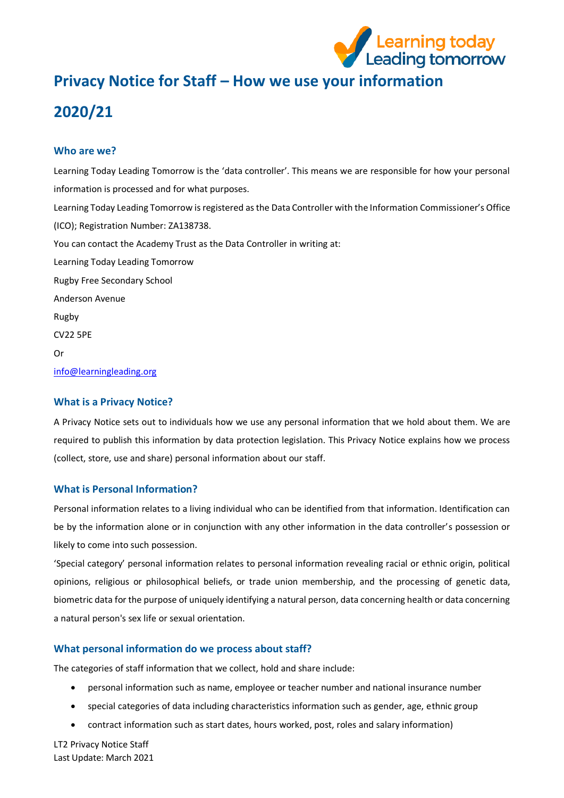

# **Privacy Notice for Staff – How we use your information 2020/21**

## **Who are we?**

Learning Today Leading Tomorrow is the 'data controller'. This means we are responsible for how your personal information is processed and for what purposes. Learning Today Leading Tomorrow is registered as the Data Controller with the Information Commissioner's Office (ICO); Registration Number: ZA138738. You can contact the Academy Trust as the Data Controller in writing at: Learning Today Leading Tomorrow Rugby Free Secondary School Anderson Avenue Rugby CV22 5PE Or [info@learningleading.org](https://rfps-my.sharepoint.com/personal/georgina_langley_learningleading_org/Documents/GDPR/Privacy%20Notice/Parent-Carer%20Privacy%20Notices/info@learningleading.org)

# **What is a Privacy Notice?**

A Privacy Notice sets out to individuals how we use any personal information that we hold about them. We are required to publish this information by data protection legislation. This Privacy Notice explains how we process (collect, store, use and share) personal information about our staff.

# **What is Personal Information?**

Personal information relates to a living individual who can be identified from that information. Identification can be by the information alone or in conjunction with any other information in the data controller's possession or likely to come into such possession.

'Special category' personal information relates to personal information revealing racial or ethnic origin, political opinions, religious or philosophical beliefs, or trade union membership, and the processing of genetic data, biometric data for the purpose of uniquely identifying a natural person, data concerning health or data concerning a natural person's sex life or sexual orientation.

# **What personal information do we process about staff?**

The categories of staff information that we collect, hold and share include:

- personal information such as name, employee or teacher number and national insurance number
- special categories of data including characteristics information such as gender, age, ethnic group
- contract information such as start dates, hours worked, post, roles and salary information)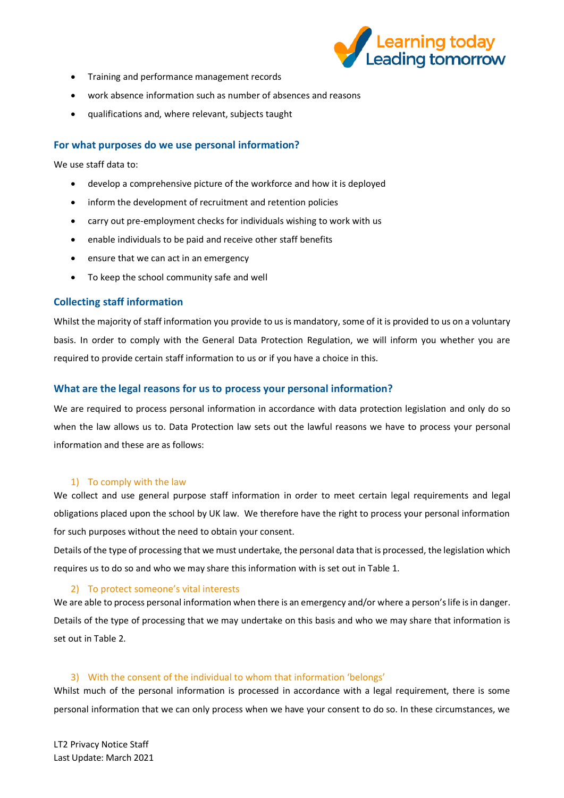

- Training and performance management records
- work absence information such as number of absences and reasons
- qualifications and, where relevant, subjects taught

# **For what purposes do we use personal information?**

We use staff data to:

- develop a comprehensive picture of the workforce and how it is deployed
- inform the development of recruitment and retention policies
- carry out pre-employment checks for individuals wishing to work with us
- enable individuals to be paid and receive other staff benefits
- ensure that we can act in an emergency
- To keep the school community safe and well

## **Collecting staff information**

Whilst the majority of staff information you provide to us is mandatory, some of it is provided to us on a voluntary basis. In order to comply with the General Data Protection Regulation, we will inform you whether you are required to provide certain staff information to us or if you have a choice in this.

## **What are the legal reasons for us to process your personal information?**

We are required to process personal information in accordance with data protection legislation and only do so when the law allows us to. Data Protection law sets out the lawful reasons we have to process your personal information and these are as follows:

#### 1) To comply with the law

We collect and use general purpose staff information in order to meet certain legal requirements and legal obligations placed upon the school by UK law. We therefore have the right to process your personal information for such purposes without the need to obtain your consent.

Details of the type of processing that we must undertake, the personal data that is processed, the legislation which requires us to do so and who we may share this information with is set out in Table 1.

## 2) To protect someone's vital interests

We are able to process personal information when there is an emergency and/or where a person's life is in danger. Details of the type of processing that we may undertake on this basis and who we may share that information is set out in Table 2.

## 3) With the consent of the individual to whom that information 'belongs'

Whilst much of the personal information is processed in accordance with a legal requirement, there is some personal information that we can only process when we have your consent to do so. In these circumstances, we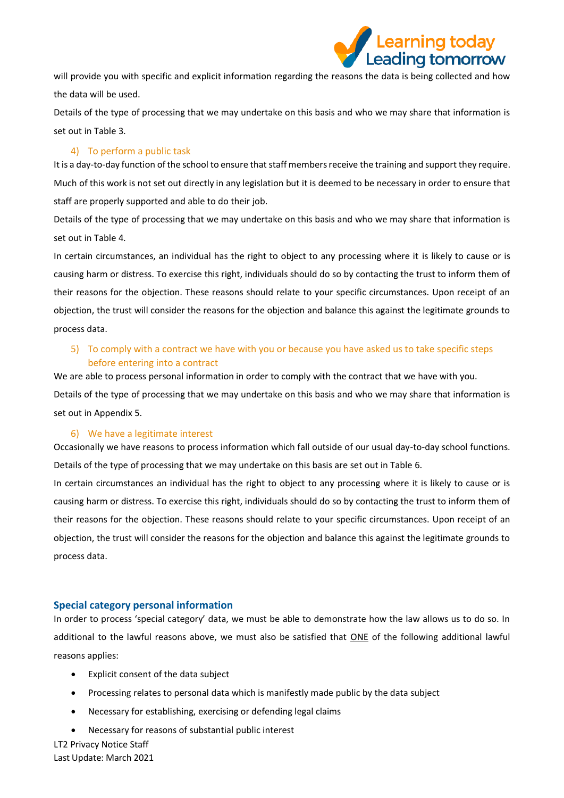

will provide you with specific and explicit information regarding the reasons the data is being collected and how the data will be used.

Details of the type of processing that we may undertake on this basis and who we may share that information is set out in Table 3.

#### 4) To perform a public task

It is a day-to-day function of the school to ensure that staff members receive the training and support they require. Much of this work is not set out directly in any legislation but it is deemed to be necessary in order to ensure that staff are properly supported and able to do their job.

Details of the type of processing that we may undertake on this basis and who we may share that information is set out in Table 4.

In certain circumstances, an individual has the right to object to any processing where it is likely to cause or is causing harm or distress. To exercise this right, individuals should do so by contacting the trust to inform them of their reasons for the objection. These reasons should relate to your specific circumstances. Upon receipt of an objection, the trust will consider the reasons for the objection and balance this against the legitimate grounds to process data.

# 5) To comply with a contract we have with you or because you have asked us to take specific steps before entering into a contract

We are able to process personal information in order to comply with the contract that we have with you. Details of the type of processing that we may undertake on this basis and who we may share that information is set out in Appendix 5.

## 6) We have a legitimate interest

Occasionally we have reasons to process information which fall outside of our usual day-to-day school functions. Details of the type of processing that we may undertake on this basis are set out in Table 6.

In certain circumstances an individual has the right to object to any processing where it is likely to cause or is causing harm or distress. To exercise this right, individuals should do so by contacting the trust to inform them of their reasons for the objection. These reasons should relate to your specific circumstances. Upon receipt of an objection, the trust will consider the reasons for the objection and balance this against the legitimate grounds to process data.

## **Special category personal information**

In order to process 'special category' data, we must be able to demonstrate how the law allows us to do so. In additional to the lawful reasons above, we must also be satisfied that ONE of the following additional lawful reasons applies:

- Explicit consent of the data subject
- Processing relates to personal data which is manifestly made public by the data subject
- Necessary for establishing, exercising or defending legal claims
- Necessary for reasons of substantial public interest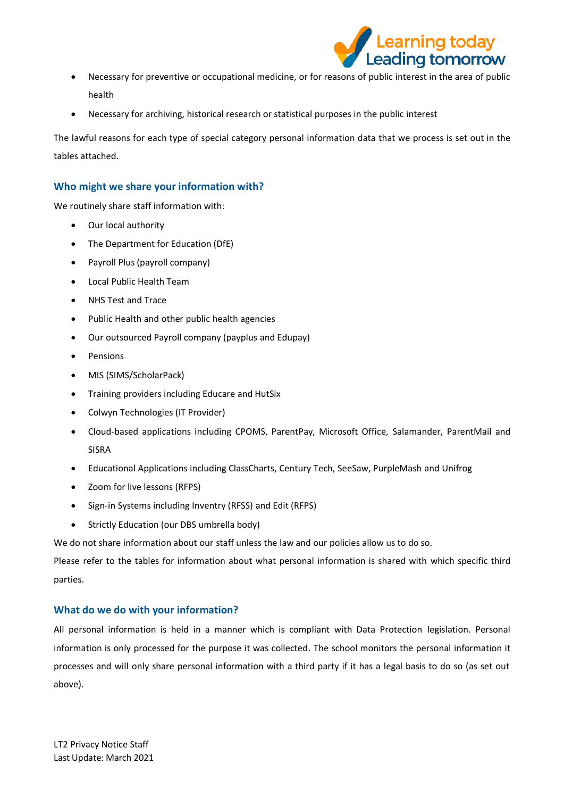

- Necessary for preventive or occupational medicine, or for reasons of public interest in the area of public health
- Necessary for archiving, historical research or statistical purposes in the public interest

The lawful reasons for each type of special category personal information data that we process is set out in the tables attached.

# **Who might we share your information with?**

We routinely share staff information with:

- Our local authority
- The Department for Education (DfE)
- Payroll Plus (payroll company)
- Local Public Health Team
- NHS Test and Trace
- Public Health and other public health agencies
- Our outsourced Payroll company (payplus and Edupay)
- Pensions
- MIS (SIMS/ScholarPack)
- Training providers including Educare and HutSix
- Colwyn Technologies (IT Provider)
- Cloud-based applications including CPOMS, ParentPay, Microsoft Office, Salamander, ParentMail and SISRA
- Educational Applications including ClassCharts, Century Tech, SeeSaw, PurpleMash and Unifrog
- Zoom for live lessons (RFPS)
- Sign-in Systems including Inventry (RFSS) and Edit (RFPS)
- Strictly Education (our DBS umbrella body)

We do not share information about our staff unless the law and our policies allow us to do so.

Please refer to the tables for information about what personal information is shared with which specific third parties.

# **What do we do with your information?**

All personal information is held in a manner which is compliant with Data Protection legislation. Personal information is only processed for the purpose it was collected. The school monitors the personal information it processes and will only share personal information with a third party if it has a legal basis to do so (as set out above).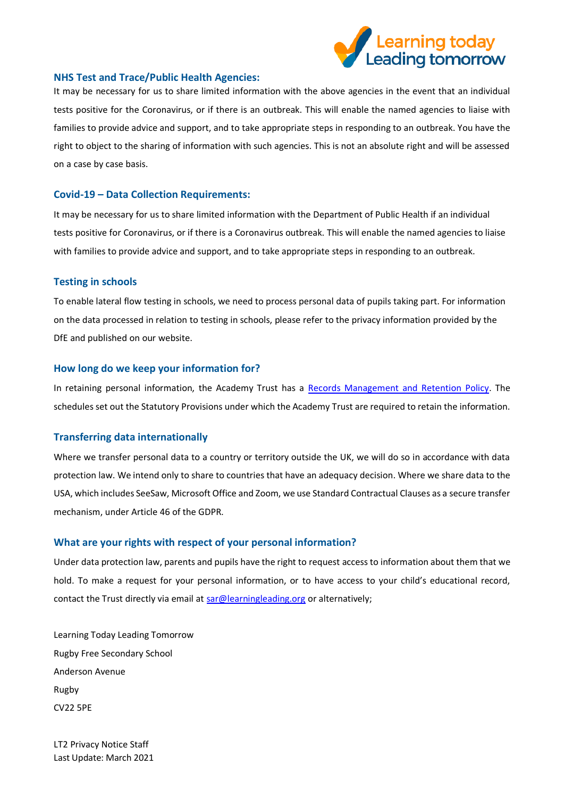

#### **NHS Test and Trace/Public Health Agencies:**

It may be necessary for us to share limited information with the above agencies in the event that an individual tests positive for the Coronavirus, or if there is an outbreak. This will enable the named agencies to liaise with families to provide advice and support, and to take appropriate steps in responding to an outbreak. You have the right to object to the sharing of information with such agencies. This is not an absolute right and will be assessed on a case by case basis.

#### **Covid-19 – Data Collection Requirements:**

It may be necessary for us to share limited information with the Department of Public Health if an individual tests positive for Coronavirus, or if there is a Coronavirus outbreak. This will enable the named agencies to liaise with families to provide advice and support, and to take appropriate steps in responding to an outbreak.

#### **Testing in schools**

To enable lateral flow testing in schools, we need to process personal data of pupils taking part. For information on the data processed in relation to testing in schools, please refer to the privacy information provided by the DfE and published on our website.

#### **How long do we keep your information for?**

In retaining personal information, the Academy Trust has a [Records Management and Retention Policy.](https://www.the-trust-governor.co.uk/documents/202103240752500.210326%20LT2%20Records%20Management%20Policy.pdf) The schedules set out the Statutory Provisions under which the Academy Trust are required to retain the information.

#### **Transferring data internationally**

Where we transfer personal data to a country or territory outside the UK, we will do so in accordance with data protection law. We intend only to share to countries that have an adequacy decision. Where we share data to the USA, which includes SeeSaw, Microsoft Office and Zoom, we use Standard Contractual Clauses as a secure transfer mechanism, under Article 46 of the GDPR.

#### **What are your rights with respect of your personal information?**

Under data protection law, parents and pupils have the right to request access to information about them that we hold. To make a request for your personal information, or to have access to your child's educational record, contact the Trust directly via email at  $\text{sar@learningleading.org}$  or alternatively;

Learning Today Leading Tomorrow Rugby Free Secondary School Anderson Avenue Rugby CV22 5PE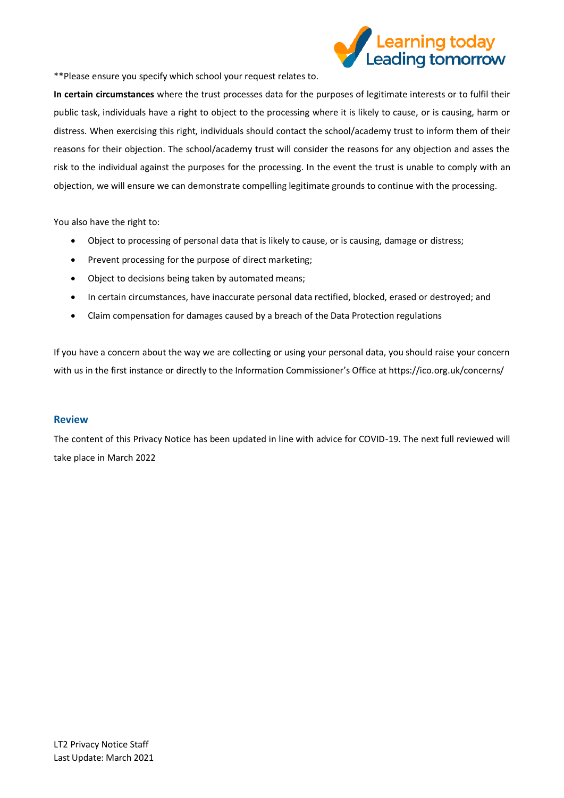

\*\*Please ensure you specify which school your request relates to.

**In certain circumstances** where the trust processes data for the purposes of legitimate interests or to fulfil their public task, individuals have a right to object to the processing where it is likely to cause, or is causing, harm or distress. When exercising this right, individuals should contact the school/academy trust to inform them of their reasons for their objection. The school/academy trust will consider the reasons for any objection and asses the risk to the individual against the purposes for the processing. In the event the trust is unable to comply with an objection, we will ensure we can demonstrate compelling legitimate grounds to continue with the processing.

You also have the right to:

- Object to processing of personal data that is likely to cause, or is causing, damage or distress;
- Prevent processing for the purpose of direct marketing;
- Object to decisions being taken by automated means;
- In certain circumstances, have inaccurate personal data rectified, blocked, erased or destroyed; and
- Claim compensation for damages caused by a breach of the Data Protection regulations

If you have a concern about the way we are collecting or using your personal data, you should raise your concern with us in the first instance or directly to the Information Commissioner's Office at https://ico.org.uk/concerns/

## **Review**

The content of this Privacy Notice has been updated in line with advice for COVID-19. The next full reviewed will take place in March 2022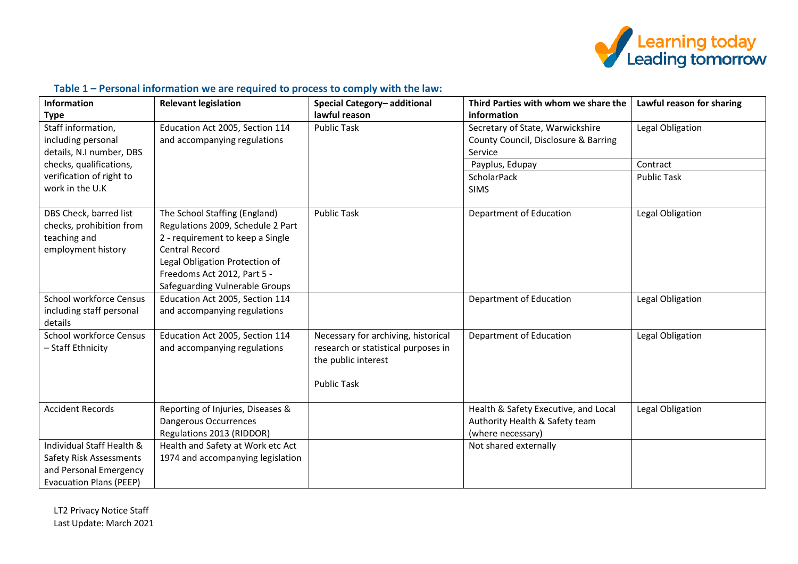

| <b>Information</b>             | <b>Relevant legislation</b>       | Special Category-additional         | Third Parties with whom we share the | Lawful reason for sharing |
|--------------------------------|-----------------------------------|-------------------------------------|--------------------------------------|---------------------------|
| <b>Type</b>                    |                                   | lawful reason                       | information                          |                           |
| Staff information,             | Education Act 2005, Section 114   | <b>Public Task</b>                  | Secretary of State, Warwickshire     | Legal Obligation          |
| including personal             | and accompanying regulations      |                                     | County Council, Disclosure & Barring |                           |
| details, N.I number, DBS       |                                   |                                     | Service                              |                           |
| checks, qualifications,        |                                   |                                     | Payplus, Edupay                      | Contract                  |
| verification of right to       |                                   |                                     | ScholarPack                          | <b>Public Task</b>        |
| work in the U.K                |                                   |                                     | <b>SIMS</b>                          |                           |
|                                |                                   |                                     |                                      |                           |
| DBS Check, barred list         | The School Staffing (England)     | <b>Public Task</b>                  | Department of Education              | Legal Obligation          |
| checks, prohibition from       | Regulations 2009, Schedule 2 Part |                                     |                                      |                           |
| teaching and                   | 2 - requirement to keep a Single  |                                     |                                      |                           |
| employment history             | <b>Central Record</b>             |                                     |                                      |                           |
|                                | Legal Obligation Protection of    |                                     |                                      |                           |
|                                | Freedoms Act 2012, Part 5 -       |                                     |                                      |                           |
|                                | Safeguarding Vulnerable Groups    |                                     |                                      |                           |
| School workforce Census        | Education Act 2005, Section 114   |                                     | Department of Education              | Legal Obligation          |
| including staff personal       | and accompanying regulations      |                                     |                                      |                           |
| details                        |                                   |                                     |                                      |                           |
| School workforce Census        | Education Act 2005, Section 114   | Necessary for archiving, historical | Department of Education              | Legal Obligation          |
| - Staff Ethnicity              | and accompanying regulations      | research or statistical purposes in |                                      |                           |
|                                |                                   | the public interest                 |                                      |                           |
|                                |                                   |                                     |                                      |                           |
|                                |                                   | <b>Public Task</b>                  |                                      |                           |
| <b>Accident Records</b>        | Reporting of Injuries, Diseases & |                                     | Health & Safety Executive, and Local | Legal Obligation          |
|                                | Dangerous Occurrences             |                                     | Authority Health & Safety team       |                           |
|                                | Regulations 2013 (RIDDOR)         |                                     | (where necessary)                    |                           |
| Individual Staff Health &      | Health and Safety at Work etc Act |                                     | Not shared externally                |                           |
| Safety Risk Assessments        | 1974 and accompanying legislation |                                     |                                      |                           |
| and Personal Emergency         |                                   |                                     |                                      |                           |
| <b>Evacuation Plans (PEEP)</b> |                                   |                                     |                                      |                           |

# **Table 1 – Personal information we are required to process to comply with the law:**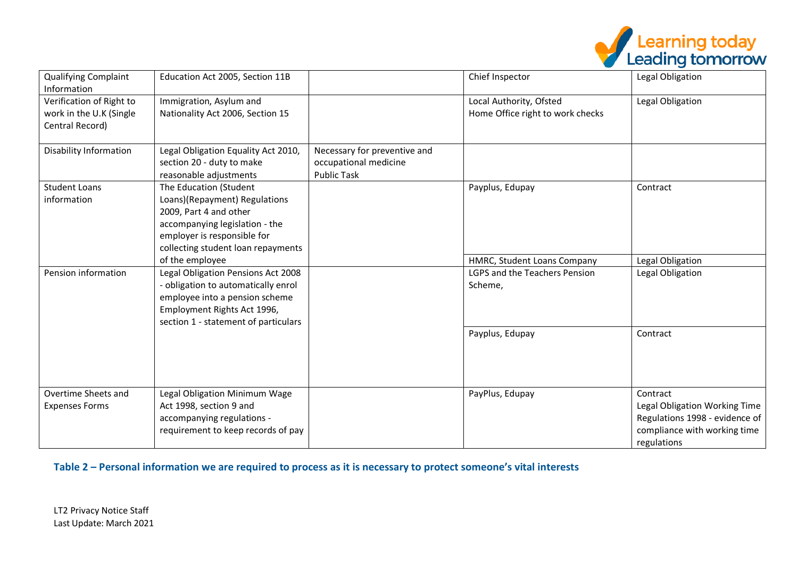

| <b>Qualifying Complaint</b><br>Information                             | Education Act 2005, Section 11B                                                                                                                                                          |                                                                             | Chief Inspector                                             | Legal Obligation                                                                                                           |
|------------------------------------------------------------------------|------------------------------------------------------------------------------------------------------------------------------------------------------------------------------------------|-----------------------------------------------------------------------------|-------------------------------------------------------------|----------------------------------------------------------------------------------------------------------------------------|
| Verification of Right to<br>work in the U.K (Single<br>Central Record) | Immigration, Asylum and<br>Nationality Act 2006, Section 15                                                                                                                              |                                                                             | Local Authority, Ofsted<br>Home Office right to work checks | Legal Obligation                                                                                                           |
| <b>Disability Information</b>                                          | Legal Obligation Equality Act 2010,<br>section 20 - duty to make<br>reasonable adjustments                                                                                               | Necessary for preventive and<br>occupational medicine<br><b>Public Task</b> |                                                             |                                                                                                                            |
| <b>Student Loans</b><br>information                                    | The Education (Student<br>Loans)(Repayment) Regulations<br>2009, Part 4 and other<br>accompanying legislation - the<br>employer is responsible for<br>collecting student loan repayments |                                                                             | Payplus, Edupay                                             | Contract                                                                                                                   |
|                                                                        | of the employee                                                                                                                                                                          |                                                                             | HMRC, Student Loans Company                                 | Legal Obligation                                                                                                           |
| Pension information                                                    | Legal Obligation Pensions Act 2008<br>- obligation to automatically enrol<br>employee into a pension scheme<br>Employment Rights Act 1996,<br>section 1 - statement of particulars       |                                                                             | LGPS and the Teachers Pension<br>Scheme,                    | Legal Obligation                                                                                                           |
|                                                                        |                                                                                                                                                                                          |                                                                             | Payplus, Edupay                                             | Contract                                                                                                                   |
| Overtime Sheets and<br><b>Expenses Forms</b>                           | Legal Obligation Minimum Wage<br>Act 1998, section 9 and<br>accompanying regulations -<br>requirement to keep records of pay                                                             |                                                                             | PayPlus, Edupay                                             | Contract<br>Legal Obligation Working Time<br>Regulations 1998 - evidence of<br>compliance with working time<br>regulations |

# **Table 2 – Personal information we are required to process as it is necessary to protect someone's vital interests**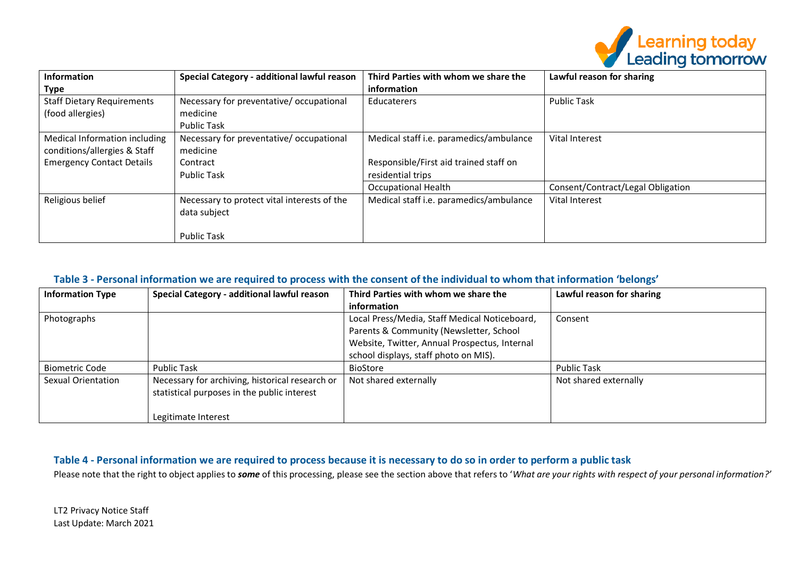

| Information                       | Special Category - additional lawful reason | Third Parties with whom we share the    | Lawful reason for sharing         |
|-----------------------------------|---------------------------------------------|-----------------------------------------|-----------------------------------|
| <b>Type</b>                       |                                             | information                             |                                   |
| <b>Staff Dietary Requirements</b> | Necessary for preventative/occupational     | Educaterers                             | <b>Public Task</b>                |
| (food allergies)                  | medicine                                    |                                         |                                   |
|                                   | <b>Public Task</b>                          |                                         |                                   |
| Medical Information including     | Necessary for preventative/occupational     | Medical staff i.e. paramedics/ambulance | Vital Interest                    |
| conditions/allergies & Staff      | medicine                                    |                                         |                                   |
| <b>Emergency Contact Details</b>  | Contract                                    | Responsible/First aid trained staff on  |                                   |
|                                   | <b>Public Task</b>                          | residential trips                       |                                   |
|                                   |                                             | <b>Occupational Health</b>              | Consent/Contract/Legal Obligation |
| Religious belief                  | Necessary to protect vital interests of the | Medical staff i.e. paramedics/ambulance | Vital Interest                    |
|                                   | data subject                                |                                         |                                   |
|                                   |                                             |                                         |                                   |
|                                   | <b>Public Task</b>                          |                                         |                                   |

## **Table 3 - Personal information we are required to process with the consent of the individual to whom that information 'belongs'**

| <b>Information Type</b> | Special Category - additional lawful reason     | Third Parties with whom we share the          | Lawful reason for sharing |
|-------------------------|-------------------------------------------------|-----------------------------------------------|---------------------------|
|                         |                                                 | information                                   |                           |
| Photographs             |                                                 | Local Press/Media, Staff Medical Noticeboard, | Consent                   |
|                         |                                                 | Parents & Community (Newsletter, School       |                           |
|                         |                                                 | Website, Twitter, Annual Prospectus, Internal |                           |
|                         |                                                 | school displays, staff photo on MIS).         |                           |
| <b>Biometric Code</b>   | <b>Public Task</b>                              | <b>BioStore</b>                               | <b>Public Task</b>        |
| Sexual Orientation      | Necessary for archiving, historical research or | Not shared externally                         | Not shared externally     |
|                         | statistical purposes in the public interest     |                                               |                           |
|                         |                                                 |                                               |                           |
|                         | Legitimate Interest                             |                                               |                           |

# **Table 4 - Personal information we are required to process because it is necessary to do so in order to perform a public task**

Please note that the right to object applies to *some* of this processing, please see the section above that refers to '*What are your rights with respect of your personal information?'*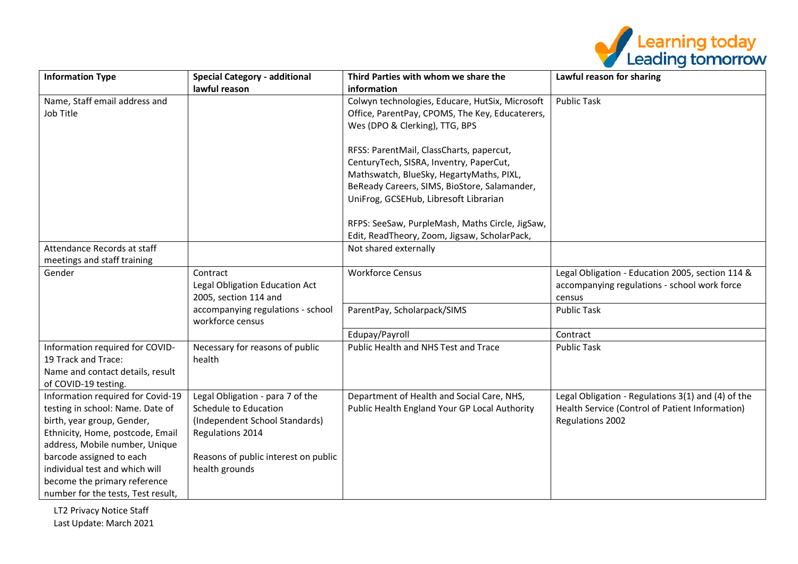

| <b>Information Type</b>                                  | <b>Special Category - additional</b>      | Third Parties with whom we share the                                                               | Lawful reason for sharing                          |
|----------------------------------------------------------|-------------------------------------------|----------------------------------------------------------------------------------------------------|----------------------------------------------------|
|                                                          | lawful reason                             | information                                                                                        |                                                    |
| Name, Staff email address and<br>Job Title               |                                           | Colwyn technologies, Educare, HutSix, Microsoft<br>Office, ParentPay, CPOMS, The Key, Educaterers, | <b>Public Task</b>                                 |
|                                                          |                                           | Wes (DPO & Clerking), TTG, BPS                                                                     |                                                    |
|                                                          |                                           |                                                                                                    |                                                    |
|                                                          |                                           | RFSS: ParentMail, ClassCharts, papercut,                                                           |                                                    |
|                                                          |                                           | CenturyTech, SISRA, Inventry, PaperCut,                                                            |                                                    |
|                                                          |                                           | Mathswatch, BlueSky, HegartyMaths, PIXL,                                                           |                                                    |
|                                                          |                                           | BeReady Careers, SIMS, BioStore, Salamander,                                                       |                                                    |
|                                                          |                                           | UniFrog, GCSEHub, Libresoft Librarian                                                              |                                                    |
|                                                          |                                           |                                                                                                    |                                                    |
|                                                          |                                           | RFPS: SeeSaw, PurpleMash, Maths Circle, JigSaw,                                                    |                                                    |
|                                                          |                                           | Edit, ReadTheory, Zoom, Jigsaw, ScholarPack,                                                       |                                                    |
| Attendance Records at staff                              |                                           | Not shared externally                                                                              |                                                    |
| meetings and staff training                              |                                           |                                                                                                    |                                                    |
| Gender                                                   | Contract                                  | <b>Workforce Census</b>                                                                            | Legal Obligation - Education 2005, section 114 &   |
|                                                          | Legal Obligation Education Act            |                                                                                                    | accompanying regulations - school work force       |
|                                                          | 2005, section 114 and                     |                                                                                                    | census                                             |
|                                                          | accompanying regulations - school         | ParentPay, Scholarpack/SIMS                                                                        | <b>Public Task</b>                                 |
|                                                          | workforce census                          |                                                                                                    |                                                    |
|                                                          |                                           | Edupay/Payroll                                                                                     | Contract                                           |
| Information required for COVID-<br>19 Track and Trace:   | Necessary for reasons of public<br>health | Public Health and NHS Test and Trace                                                               | <b>Public Task</b>                                 |
|                                                          |                                           |                                                                                                    |                                                    |
| Name and contact details, result<br>of COVID-19 testing. |                                           |                                                                                                    |                                                    |
| Information required for Covid-19                        | Legal Obligation - para 7 of the          | Department of Health and Social Care, NHS,                                                         | Legal Obligation - Regulations 3(1) and (4) of the |
| testing in school: Name. Date of                         | Schedule to Education                     | Public Health England Your GP Local Authority                                                      | Health Service (Control of Patient Information)    |
| birth, year group, Gender,                               | (Independent School Standards)            |                                                                                                    | Regulations 2002                                   |
| Ethnicity, Home, postcode, Email                         | Regulations 2014                          |                                                                                                    |                                                    |
| address, Mobile number, Unique                           |                                           |                                                                                                    |                                                    |
| barcode assigned to each                                 | Reasons of public interest on public      |                                                                                                    |                                                    |
| individual test and which will                           | health grounds                            |                                                                                                    |                                                    |
| become the primary reference                             |                                           |                                                                                                    |                                                    |
| number for the tests, Test result,                       |                                           |                                                                                                    |                                                    |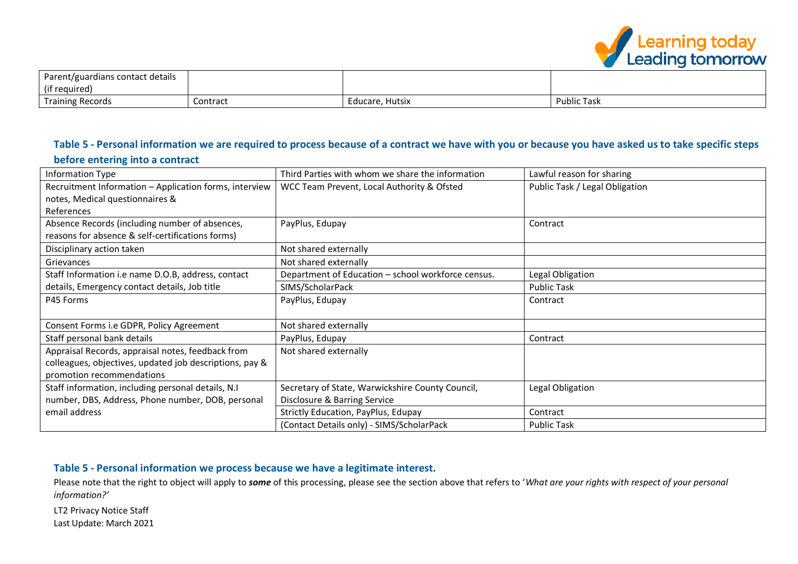

| Parent/guardians contact details |          |                 |                    |
|----------------------------------|----------|-----------------|--------------------|
| (if required)                    |          |                 |                    |
| <b>Training Records</b>          | Contract | Educare, Hutsix | <b>Public Task</b> |

# **Table 5 - Personal information we are required to process because of a contract we have with you or because you have asked us to take specific steps before entering into a contract**

| <b>Information Type</b>                                 | Third Parties with whom we share the information   | Lawful reason for sharing      |
|---------------------------------------------------------|----------------------------------------------------|--------------------------------|
| Recruitment Information - Application forms, interview  | WCC Team Prevent, Local Authority & Ofsted         | Public Task / Legal Obligation |
| notes, Medical questionnaires &                         |                                                    |                                |
| References                                              |                                                    |                                |
| Absence Records (including number of absences,          | PayPlus, Edupay                                    | Contract                       |
| reasons for absence & self-certifications forms)        |                                                    |                                |
| Disciplinary action taken                               | Not shared externally                              |                                |
| Grievances                                              | Not shared externally                              |                                |
| Staff Information i.e name D.O.B, address, contact      | Department of Education - school workforce census. | Legal Obligation               |
| details, Emergency contact details, Job title           | SIMS/ScholarPack                                   | <b>Public Task</b>             |
| P45 Forms                                               | PayPlus, Edupay                                    | Contract                       |
|                                                         |                                                    |                                |
| Consent Forms i.e GDPR, Policy Agreement                | Not shared externally                              |                                |
| Staff personal bank details                             | PayPlus, Edupay                                    | Contract                       |
| Appraisal Records, appraisal notes, feedback from       | Not shared externally                              |                                |
| colleagues, objectives, updated job descriptions, pay & |                                                    |                                |
| promotion recommendations                               |                                                    |                                |
| Staff information, including personal details, N.I      | Secretary of State, Warwickshire County Council,   | Legal Obligation               |
| number, DBS, Address, Phone number, DOB, personal       | Disclosure & Barring Service                       |                                |
| email address                                           | Strictly Education, PayPlus, Edupay                | Contract                       |
|                                                         | (Contact Details only) - SIMS/ScholarPack          | <b>Public Task</b>             |

# **Table 5 - Personal information we process because we have a legitimate interest.**

Please note that the right to object will apply to *some* of this processing, please see the section above that refers to '*What are your rights with respect of your personal information?'*